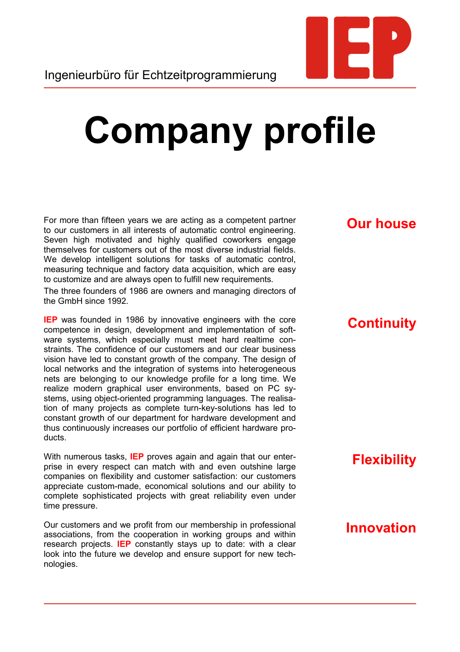

# **Company profile**

For more than fifteen years we are acting as a competent partner to our customers in all interests of automatic control engineering. Seven high motivated and highly qualified coworkers engage themselves for customers out of the most diverse industrial fields. We develop intelligent solutions for tasks of automatic control, measuring technique and factory data acquisition, which are easy to customize and are always open to fulfill new requirements.

The three founders of 1986 are owners and managing directors of the GmbH since 1992.

**IEP** was founded in 1986 by innovative engineers with the core competence in design, development and implementation of software systems, which especially must meet hard realtime constraints. The confidence of our customers and our clear business vision have led to constant growth of the company. The design of local networks and the integration of systems into heterogeneous nets are belonging to our knowledge profile for a long time. We realize modern graphical user environments, based on PC systems, using object-oriented programming languages. The realisation of many projects as complete turn-key-solutions has led to constant growth of our department for hardware development and thus continuously increases our portfolio of efficient hardware products.

With numerous tasks, **IEP** proves again and again that our enterprise in every respect can match with and even outshine large companies on flexibility and customer satisfaction: our customers appreciate custom-made, economical solutions and our ability to complete sophisticated projects with great reliability even under time pressure.

Our customers and we profit from our membership in professional associations, from the cooperation in working groups and within research projects. **IEP** constantly stays up to date: with a clear look into the future we develop and ensure support for new technologies.

# **Our house**

### **Continuity**

# **Flexibility**

# **Innovation**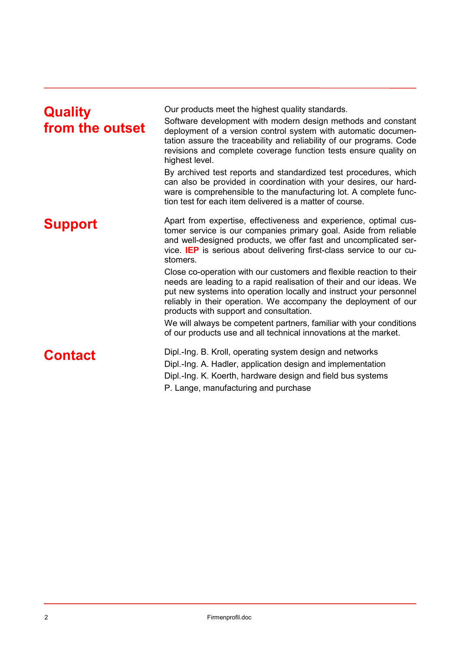| <b>Quality</b><br>from the outset | Our products meet the highest quality standards.<br>Software development with modern design methods and constant<br>deployment of a version control system with automatic documen-<br>tation assure the traceability and reliability of our programs. Code<br>revisions and complete coverage function tests ensure quality on<br>highest level.<br>By archived test reports and standardized test procedures, which<br>can also be provided in coordination with your desires, our hard-<br>ware is comprehensible to the manufacturing lot. A complete func-<br>tion test for each item delivered is a matter of course.                                                                                                                                                 |
|-----------------------------------|----------------------------------------------------------------------------------------------------------------------------------------------------------------------------------------------------------------------------------------------------------------------------------------------------------------------------------------------------------------------------------------------------------------------------------------------------------------------------------------------------------------------------------------------------------------------------------------------------------------------------------------------------------------------------------------------------------------------------------------------------------------------------|
| <b>Support</b>                    | Apart from expertise, effectiveness and experience, optimal cus-<br>tomer service is our companies primary goal. Aside from reliable<br>and well-designed products, we offer fast and uncomplicated ser-<br>vice. IEP is serious about delivering first-class service to our cu-<br>stomers.<br>Close co-operation with our customers and flexible reaction to their<br>needs are leading to a rapid realisation of their and our ideas. We<br>put new systems into operation locally and instruct your personnel<br>reliably in their operation. We accompany the deployment of our<br>products with support and consultation.<br>We will always be competent partners, familiar with your conditions<br>of our products use and all technical innovations at the market. |
| <b>Contact</b>                    | Dipl.-Ing. B. Kroll, operating system design and networks<br>Dipl.-Ing. A. Hadler, application design and implementation<br>Dipl.-Ing. K. Koerth, hardware design and field bus systems<br>P. Lange, manufacturing and purchase                                                                                                                                                                                                                                                                                                                                                                                                                                                                                                                                            |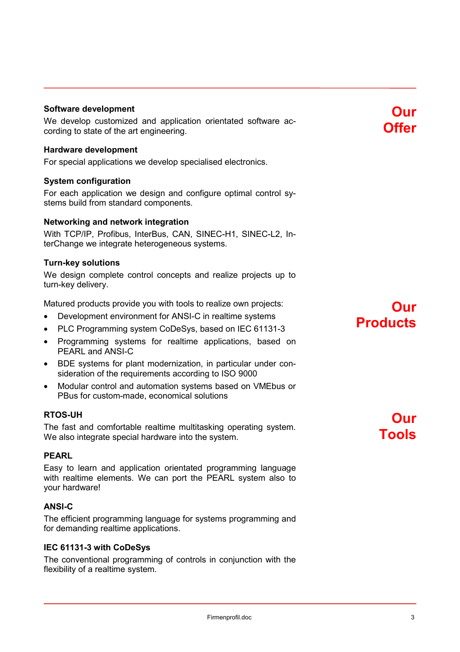#### **Software development**

We develop customized and application orientated software according to state of the art engineering.

#### **Hardware development**

For special applications we develop specialised electronics.

#### **System configuration**

For each application we design and configure optimal control systems build from standard components.

#### **Networking and network integration**

With TCP/IP, Profibus, InterBus, CAN, SINEC-H1, SINEC-L2, InterChange we integrate heterogeneous systems.

#### **Turn-key solutions**

We design complete control concepts and realize projects up to turn-key delivery.

Matured products provide you with tools to realize own projects:

- Development environment for ANSI-C in realtime systems
- PLC Programming system CoDeSys, based on IEC 61131-3
- Programming systems for realtime applications, based on PEARL and ANSI-C
- BDE systems for plant modernization, in particular under consideration of the requirements according to ISO 9000
- Modular control and automation systems based on VMEbus or PBus for custom-made, economical solutions

#### **RTOS-UH**

The fast and comfortable realtime multitasking operating system. We also integrate special hardware into the system.

#### **PEARL**

Easy to learn and application orientated programming language with realtime elements. We can port the PEARL system also to your hardware!

#### **ANSI-C**

The efficient programming language for systems programming and for demanding realtime applications.

#### **IEC 61131-3 with CoDeSys**

The conventional programming of controls in conjunction with the flexibility of a realtime system.

# **Products**

**Our**

# **Our Tools**